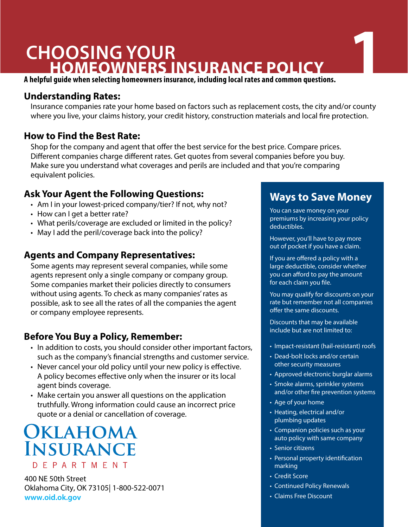# **CHOOSING YOUR HOMEOWNERS INSURANCE POLICY**

**A helpful guide when selecting homeowners insurance, including local rates and common questions.** 

# **Understanding Rates:**

Insurance companies rate your home based on factors such as replacement costs, the city and/or county where you live, your claims history, your credit history, construction materials and local fire protection.

# **How to Find the Best Rate:**

Shop for the company and agent that offer the best service for the best price. Compare prices. Different companies charge different rates. Get quotes from several companies before you buy. Make sure you understand what coverages and perils are included and that you're comparing equivalent policies.

# **Ask Your Agent the Following Questions:**

- Am I in your lowest-priced company/tier? If not, why not?
- How can I get a better rate?
- What perils/coverage are excluded or limited in the policy?
- May I add the peril/coverage back into the policy?

## **Agents and Company Representatives:**

Some agents may represent several companies, while some agents represent only a single company or company group. Some companies market their policies directly to consumers without using agents. To check as many companies' rates as possible, ask to see all the rates of all the companies the agent or company employee represents.

# **Before You Buy a Policy, Remember:**

- In addition to costs, you should consider other important factors, such as the company's financial strengths and customer service.
- Never cancel your old policy until your new policy is effective. A policy becomes effective only when the insurer or its local agent binds coverage.
- Make certain you answer all questions on the application truthfully. Wrong information could cause an incorrect price quote or a denial or cancellation of coverage.

# OKLAHOMA **INSURANCE** DEPARTMENT

400 NE 50th Street Oklahoma City, OK 73105| 1-800-522-0071 **www.oid.ok.gov**

# **Ways to Save Money**

**1**

You can save money on your premiums by increasing your policy deductibles.

However, you'll have to pay more out of pocket if you have a claim.

If you are offered a policy with a large deductible, consider whether you can afford to pay the amount for each claim you file.

You may qualify for discounts on your rate but remember not all companies offer the same discounts.

Discounts that may be available include but are not limited to:

- Impact-resistant (hail-resistant) roofs
- Dead-bolt locks and/or certain other security measures
- Approved electronic burglar alarms
- Smoke alarms, sprinkler systems and/or other fire prevention systems
- Age of your home
- Heating, electrical and/or plumbing updates
- Companion policies such as your auto policy with same company
- Senior citizens
- Personal property identification marking
- Credit Score
- Continued Policy Renewals
- Claims Free Discount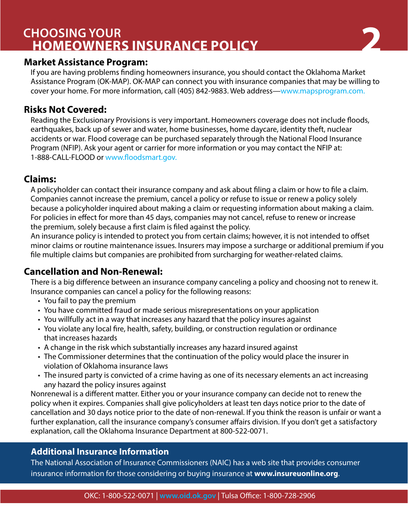# **CHOOSING YOUR HOMEOWNERS INSURANCE POLICY 2**



# **Market Assistance Program:**

If you are having problems finding homeowners insurance, you should contact the Oklahoma Market Assistance Program (OK-MAP). OK-MAP can connect you with insurance companies that may be willing to cover your home. For more information, call (405) 842-9883. Web address—www.mapsprogram.com.

# **Risks Not Covered:**

Reading the Exclusionary Provisions is very important. Homeowners coverage does not include floods, earthquakes, back up of sewer and water, home businesses, home daycare, identity theft, nuclear accidents or war. Flood coverage can be purchased separately through the National Flood Insurance Program (NFIP). Ask your agent or carrier for more information or you may contact the NFIP at: 1-888-CALL-FLOOD or www.floodsmart.gov.

## **Claims:**

A policyholder can contact their insurance company and ask about filing a claim or how to file a claim. Companies cannot increase the premium, cancel a policy or refuse to issue or renew a policy solely because a policyholder inquired about making a claim or requesting information about making a claim. For policies in effect for more than 45 days, companies may not cancel, refuse to renew or increase the premium, solely because a first claim is filed against the policy.

An insurance policy is intended to protect you from certain claims; however, it is not intended to offset minor claims or routine maintenance issues. Insurers may impose a surcharge or additional premium if you file multiple claims but companies are prohibited from surcharging for weather-related claims.

# **Cancellation and Non-Renewal:**

There is a big difference between an insurance company canceling a policy and choosing not to renew it. Insurance companies can cancel a policy for the following reasons:

- You fail to pay the premium
- You have committed fraud or made serious misrepresentations on your application
- You willfully act in a way that increases any hazard that the policy insures against
- You violate any local fire, health, safety, building, or construction regulation or ordinance that increases hazards
- A change in the risk which substantially increases any hazard insured against
- The Commissioner determines that the continuation of the policy would place the insurer in violation of Oklahoma insurance laws
- The insured party is convicted of a crime having as one of its necessary elements an act increasing any hazard the policy insures against

Nonrenewal is a different matter. Either you or your insurance company can decide not to renew the policy when it expires. Companies shall give policyholders at least ten days notice prior to the date of cancellation and 30 days notice prior to the date of non-renewal. If you think the reason is unfair or want a further explanation, call the insurance company's consumer affairs division. If you don't get a satisfactory explanation, call the Oklahoma Insurance Department at 800-522-0071.

## **Additional Insurance Information**

The National Association of Insurance Commissioners (NAIC) has a web site that provides consumer insurance information for those considering or buying insurance at **www.insureuonline.org**.